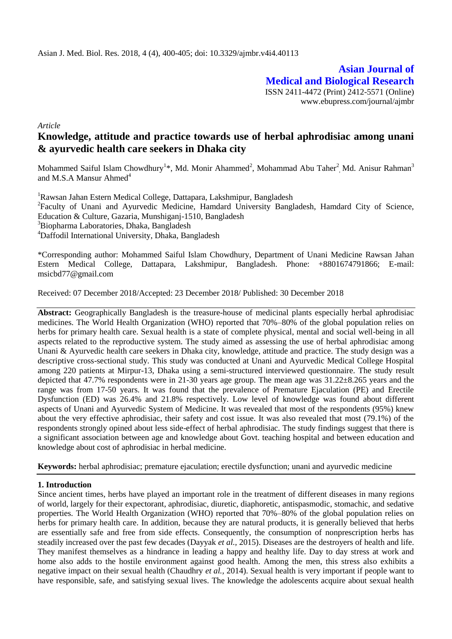**Asian Journal of Medical and Biological Research** ISSN 2411-4472 (Print) 2412-5571 (Online) www.ebupress.com/journal/ajmbr

*Article*

# **Knowledge, attitude and practice towards use of herbal aphrodisiac among unani & ayurvedic health care seekers in Dhaka city**

Mohammed Saiful Islam Chowdhury<sup>1</sup>\*, Md. Monir Ahammed<sup>2</sup>, Mohammad Abu Taher<sup>2</sup>, Md. Anisur Rahman<sup>3</sup> and M.S.A Mansur Ahmed $4$ 

<sup>1</sup>Rawsan Jahan Estern Medical College, Dattapara, Lakshmipur, Bangladesh <sup>2</sup>Faculty of Unani and Ayurvedic Medicine, Hamdard University Bangladesh, Hamdard City of Science, Education & Culture, Gazaria, Munshiganj-1510, Bangladesh

<sup>3</sup>Biopharma Laboratories, Dhaka, Bangladesh

<sup>4</sup>Daffodil International University, Dhaka, Bangladesh

\*Corresponding author: Mohammed Saiful Islam Chowdhury, Department of Unani Medicine Rawsan Jahan Estern Medical College, Dattapara, Lakshmipur, Bangladesh. Phone: +8801674791866; E-mail: msicbd77@gmail.com

Received: 07 December 2018/Accepted: 23 December 2018/ Published: 30 December 2018

**Abstract:** Geographically Bangladesh is the treasure-house of medicinal plants especially herbal aphrodisiac medicines. The World Health Organization (WHO) reported that 70%–80% of the global population relies on herbs for primary health care. Sexual health is a state of complete physical, mental and social well-being in all aspects related to the reproductive system. The study aimed as assessing the use of herbal aphrodisiac among Unani & Ayurvedic health care seekers in Dhaka city, knowledge, attitude and practice. The study design was a descriptive cross-sectional study. This study was conducted at Unani and Ayurvedic Medical College Hospital among 220 patients at Mirpur-13, Dhaka using a semi-structured interviewed questionnaire. The study result depicted that 47.7% respondents were in 21-30 years age group. The mean age was 31.22±8.265 years and the range was from 17-50 years. It was found that the prevalence of Premature Ejaculation (PE) and Erectile Dysfunction (ED) was 26.4% and 21.8% respectively. Low level of knowledge was found about different aspects of Unani and Ayurvedic System of Medicine. It was revealed that most of the respondents (95%) knew about the very effective aphrodisiac, their safety and cost issue. It was also revealed that most (79.1%) of the respondents strongly opined about less side-effect of herbal aphrodisiac. The study findings suggest that there is a significant association between age and knowledge about Govt. teaching hospital and between education and knowledge about cost of aphrodisiac in herbal medicine.

**Keywords:** herbal aphrodisiac; premature ejaculation; erectile dysfunction; unani and ayurvedic medicine

#### **1. Introduction**

Since ancient times, herbs have played an important role in the treatment of different diseases in many regions of world, largely for their expectorant, aphrodisiac, diuretic, diaphoretic, antispasmodic, stomachic, and sedative properties. The World Health Organization (WHO) reported that 70%–80% of the global population relies on herbs for primary health care. In addition, because they are natural products, it is generally believed that herbs are essentially safe and free from side effects. Consequently, the consumption of nonprescription herbs has steadily increased over the past few decades (Dayyak *et al.,* 2015). Diseases are the destroyers of health and life. They manifest themselves as a hindrance in leading a happy and healthy life. Day to day stress at work and home also adds to the hostile environment against good health. Among the men, this stress also exhibits a negative impact on their sexual health (Chaudhry *et al.,* 2014). Sexual health is very important if people want to have responsible, safe, and satisfying sexual lives. The knowledge the adolescents acquire about sexual health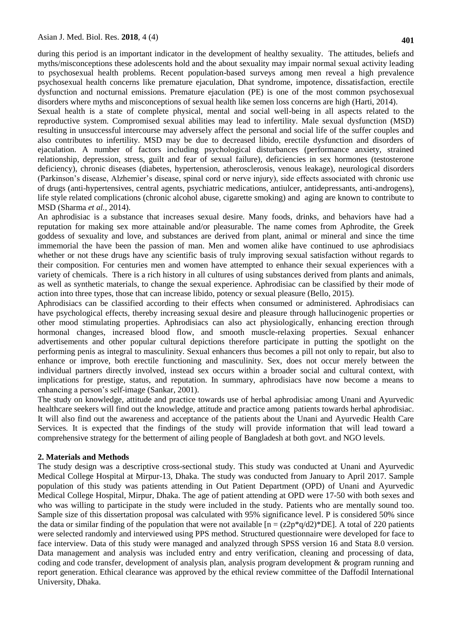during this period is an important indicator in the development of healthy sexuality. The attitudes, beliefs and myths/misconceptions these adolescents hold and the about sexuality may impair normal sexual activity leading to psychosexual health problems. Recent population-based surveys among men reveal a high prevalence psychosexual health concerns like premature ejaculation, Dhat syndrome, impotence, dissatisfaction, erectile dysfunction and nocturnal emissions. Premature ejaculation (PE) is one of the most common psychosexual disorders where myths and misconceptions of sexual health like semen loss concerns are high (Harti, 2014).

Sexual health is a state of complete physical, mental and social well-being in all aspects related to the reproductive system. Compromised sexual abilities may lead to infertility. Male sexual dysfunction (MSD) resulting in unsuccessful intercourse may adversely affect the personal and social life of the suffer couples and also contributes to infertility. MSD may be due to decreased libido, erectile dysfunction and disorders of ejaculation. A number of factors including psychological disturbances (performance anxiety, strained relationship, depression, stress, guilt and fear of sexual failure), deficiencies in sex hormones (testosterone deficiency), chronic diseases (diabetes, hypertension, atherosclerosis, venous leakage), neurological disorders (Parkinson's disease, Alzhemier's disease, spinal cord or nerve injury), side effects associated with chronic use of drugs (anti-hypertensives, central agents, psychiatric medications, antiulcer, antidepressants, anti-androgens), life style related complications (chronic alcohol abuse, cigarette smoking) and aging are known to contribute to MSD (Sharma *et al.,* 2014).

An aphrodisiac is a substance that increases sexual desire. Many foods, drinks, and behaviors have had a reputation for making sex more attainable and/or pleasurable. The name comes from Aphrodite, the Greek goddess of sexuality and love, and substances are derived from plant, animal or mineral and since the time immemorial the have been the passion of man. Men and women alike have continued to use aphrodisiacs whether or not these drugs have any scientific basis of truly improving sexual satisfaction without regards to their composition. For centuries men and women have attempted to enhance their sexual experiences with a variety of chemicals. There is a rich history in all cultures of using substances derived from plants and animals, as well as synthetic materials, to change the sexual experience. Aphrodisiac can be classified by their mode of action into three types, those that can increase libido, potency or sexual pleasure (Bello, 2015).

Aphrodisiacs can be classified according to their effects when consumed or administered. Aphrodisiacs can have psychological effects, thereby increasing sexual desire and pleasure through hallucinogenic properties or other mood stimulating properties. Aphrodisiacs can also act physiologically, enhancing erection through hormonal changes, increased blood flow, and smooth muscle-relaxing properties. Sexual enhancer advertisements and other popular cultural depictions therefore participate in putting the spotlight on the performing penis as integral to masculinity. Sexual enhancers thus becomes a pill not only to repair, but also to enhance or improve, both erectile functioning and masculinity. Sex, does not occur merely between the individual partners directly involved, instead sex occurs within a broader social and cultural context, with implications for prestige, status, and reputation. In summary, aphrodisiacs have now become a means to enhancing a person's self-image (Sankar, 2001).

The study on knowledge, attitude and practice towards use of herbal aphrodisiac among Unani and Ayurvedic healthcare seekers will find out the knowledge, attitude and practice among patients towards herbal aphrodisiac. It will also find out the awareness and acceptance of the patients about the Unani and Ayurvedic Health Care Services. It is expected that the findings of the study will provide information that will lead toward a comprehensive strategy for the betterment of ailing people of Bangladesh at both govt. and NGO levels.

#### **2. Materials and Methods**

The study design was a descriptive cross-sectional study. This study was conducted at Unani and Ayurvedic Medical College Hospital at Mirpur-13, Dhaka. The study was conducted from January to April 2017. Sample population of this study was patients attending in Out Patient Department (OPD) of Unani and Ayurvedic Medical College Hospital, Mirpur, Dhaka. The age of patient attending at OPD were 17-50 with both sexes and who was willing to participate in the study were included in the study. Patients who are mentally sound too. Sample size of this dissertation proposal was calculated with 95% significance level. P is considered 50% since the data or similar finding of the population that were not available  $[n = (z2p^*q/d2)^*DE]$ . A total of 220 patients were selected randomly and interviewed using PPS method. Structured questionnaire were developed for face to face interview. Data of this study were managed and analyzed through SPSS version 16 and Stata 8.0 version. Data management and analysis was included entry and entry verification, cleaning and processing of data, coding and code transfer, development of analysis plan, analysis program development & program running and report generation. Ethical clearance was approved by the ethical review committee of the Daffodil International University, Dhaka.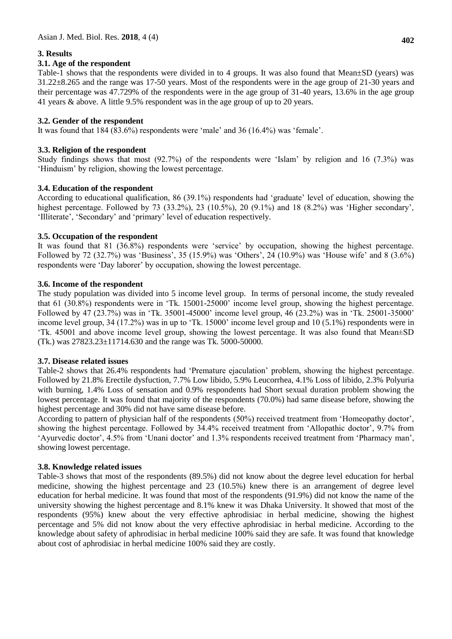# **3. Results**

#### **3.1. Age of the respondent**

Table-1 shows that the respondents were divided in to 4 groups. It was also found that Mean±SD (years) was 31.22±8.265 and the range was 17-50 years. Most of the respondents were in the age group of 21-30 years and their percentage was 47.729% of the respondents were in the age group of 31-40 years, 13.6% in the age group 41 years & above. A little 9.5% respondent was in the age group of up to 20 years.

## **3.2. Gender of the respondent**

It was found that 184 (83.6%) respondents were 'male' and 36 (16.4%) was 'female'.

## **3.3. Religion of the respondent**

Study findings shows that most (92.7%) of the respondents were 'Islam' by religion and 16 (7.3%) was 'Hinduism' by religion, showing the lowest percentage.

## **3.4. Education of the respondent**

According to educational qualification, 86 (39.1%) respondents had 'graduate' level of education, showing the highest percentage. Followed by 73 (33.2%), 23 (10.5%), 20 (9.1%) and 18 (8.2%) was 'Higher secondary', 'Illiterate', 'Secondary' and 'primary' level of education respectively.

## **3.5. Occupation of the respondent**

It was found that 81 (36.8%) respondents were 'service' by occupation, showing the highest percentage. Followed by 72 (32.7%) was 'Business', 35 (15.9%) was 'Others', 24 (10.9%) was 'House wife' and 8 (3.6%) respondents were 'Day laborer' by occupation, showing the lowest percentage.

## **3.6. Income of the respondent**

The study population was divided into 5 income level group. In terms of personal income, the study revealed that 61 (30.8%) respondents were in 'Tk. 15001-25000' income level group, showing the highest percentage. Followed by 47 (23.7%) was in 'Tk. 35001-45000' income level group, 46 (23.2%) was in 'Tk. 25001-35000' income level group, 34 (17.2%) was in up to 'Tk. 15000' income level group and 10 (5.1%) respondents were in 'Tk. 45001 and above income level group, showing the lowest percentage. It was also found that Mean±SD (Tk.) was 27823.23±11714.630 and the range was Tk. 5000-50000.

#### **3.7. Disease related issues**

Table-2 shows that 26.4% respondents had 'Premature ejaculation' problem, showing the highest percentage. Followed by 21.8% Erectile dysfuction, 7.7% Low libido, 5.9% Leucorrhea, 4.1% Loss of libido, 2.3% Polyuria with burning, 1.4% Loss of sensation and 0.9% respondents had Short sexual duration problem showing the lowest percentage. It was found that majority of the respondents (70.0%) had same disease before, showing the highest percentage and 30% did not have same disease before.

According to pattern of physician half of the respondents (50%) received treatment from 'Homeopathy doctor', showing the highest percentage. Followed by 34.4% received treatment from 'Allopathic doctor', 9.7% from 'Ayurvedic doctor', 4.5% from 'Unani doctor' and 1.3% respondents received treatment from 'Pharmacy man', showing lowest percentage.

# **3.8. Knowledge related issues**

Table-3 shows that most of the respondents (89.5%) did not know about the degree level education for herbal medicine, showing the highest percentage and 23 (10.5%) knew there is an arrangement of degree level education for herbal medicine. It was found that most of the respondents (91.9%) did not know the name of the university showing the highest percentage and 8.1% knew it was Dhaka University. It showed that most of the respondents (95%) knew about the very effective aphrodisiac in herbal medicine, showing the highest percentage and 5% did not know about the very effective aphrodisiac in herbal medicine. According to the knowledge about safety of aphrodisiac in herbal medicine 100% said they are safe. It was found that knowledge about cost of aphrodisiac in herbal medicine 100% said they are costly.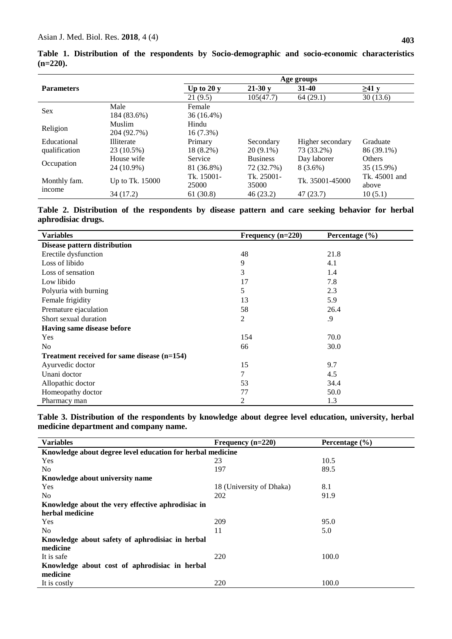|                        |                 | Age groups   |                 |                  |               |  |
|------------------------|-----------------|--------------|-----------------|------------------|---------------|--|
| <b>Parameters</b>      |                 | Up to $20y$  | $21-30y$        | $31 - 40$        | $\geq$ 41 y   |  |
|                        |                 | 21(9.5)      | 105(47.7)       | 64(29.1)         | 30(13.6)      |  |
| <b>Sex</b>             | Male            | Female       |                 |                  |               |  |
|                        | 184 (83.6%)     | $36(16.4\%)$ |                 |                  |               |  |
| Religion               | <b>Muslim</b>   | Hindu        |                 |                  |               |  |
|                        | 204 (92.7%)     | $16(7.3\%)$  |                 |                  |               |  |
| Educational            | Illiterate      | Primary      | Secondary       | Higher secondary | Graduate      |  |
| qualification          | 23 (10.5%)      | 18 (8.2%)    | $20(9.1\%)$     | 73 (33.2%)       | 86 (39.1%)    |  |
| Occupation             | House wife      | Service      | <b>Business</b> | Day laborer      | Others        |  |
|                        | 24 (10.9%)      | 81 (36.8%)   | 72 (32.7%)      | $8(3.6\%)$       | 35 (15.9%)    |  |
| Monthly fam.<br>income | Up to Tk. 15000 | Tk. 15001-   | Tk. 25001-      | Tk. 35001-45000  | Tk. 45001 and |  |
|                        |                 | 25000        | 35000           |                  | above         |  |
|                        | 34 (17.2)       | 61(30.8)     | 46(23.2)        | 47 (23.7)        | 10(5.1)       |  |

**Table 1. Distribution of the respondents by Socio-demographic and socio-economic characteristics (n=220).**

**Table 2. Distribution of the respondents by disease pattern and care seeking behavior for herbal aphrodisiac drugs.**

| <b>Variables</b>                            | Frequency $(n=220)$ | Percentage (%) |  |  |
|---------------------------------------------|---------------------|----------------|--|--|
| Disease pattern distribution                |                     |                |  |  |
| Erectile dysfunction                        | 48                  | 21.8           |  |  |
| Loss of libido                              | 9                   | 4.1            |  |  |
| Loss of sensation                           | 3                   | 1.4            |  |  |
| Low libido                                  | 17                  | 7.8            |  |  |
| Polyuria with burning                       | 5                   | 2.3            |  |  |
| Female frigidity                            | 13                  | 5.9            |  |  |
| Premature ejaculation                       | 58                  | 26.4           |  |  |
| Short sexual duration                       | 2                   | .9             |  |  |
| Having same disease before                  |                     |                |  |  |
| <b>Yes</b>                                  | 154                 | 70.0           |  |  |
| No                                          | 66                  | 30.0           |  |  |
| Treatment received for same disease (n=154) |                     |                |  |  |
| Ayurvedic doctor                            | 15                  | 9.7            |  |  |
| Unani doctor                                | 7                   | 4.5            |  |  |
| Allopathic doctor                           | 53                  | 34.4           |  |  |
| Homeopathy doctor                           | 77                  | 50.0           |  |  |
| Pharmacy man                                | 2                   | 1.3            |  |  |

**Table 3. Distribution of the respondents by knowledge about degree level education, university, herbal medicine department and company name.**

| <b>Variables</b>                                            | Frequency $(n=220)$      | Percentage $(\% )$ |  |  |  |
|-------------------------------------------------------------|--------------------------|--------------------|--|--|--|
| Knowledge about degree level education for herbal medicine  |                          |                    |  |  |  |
| Yes                                                         | 23                       | 10.5               |  |  |  |
| N <sub>0</sub>                                              | 197                      | 89.5               |  |  |  |
| Knowledge about university name                             |                          |                    |  |  |  |
| <b>Yes</b>                                                  | 18 (University of Dhaka) | 8.1                |  |  |  |
| N <sub>0</sub>                                              | 202                      | 91.9               |  |  |  |
| Knowledge about the very effective aphrodisiac in           |                          |                    |  |  |  |
| herbal medicine                                             |                          |                    |  |  |  |
| <b>Yes</b>                                                  | 209                      | 95.0               |  |  |  |
| N <sub>0</sub>                                              | 11                       | 5.0                |  |  |  |
| Knowledge about safety of aphrodisiac in herbal<br>medicine |                          |                    |  |  |  |
| It is safe                                                  | 220                      | 100.0              |  |  |  |
| Knowledge about cost of aphrodisiac in herbal<br>medicine   |                          |                    |  |  |  |
| It is costly                                                | 220                      | 100.0              |  |  |  |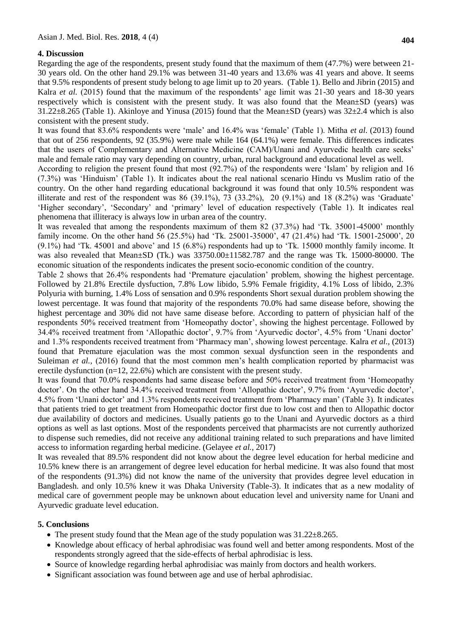# **4. Discussion**

Regarding the age of the respondents, present study found that the maximum of them (47.7%) were between 21- 30 years old. On the other hand 29.1% was between 31-40 years and 13.6% was 41 years and above. It seems that 9.5% respondents of present study belong to age limit up to 20 years. (Table 1). Bello and Jibrin (2015) and Kalra *et al.* (2015) found that the maximum of the respondents' age limit was 21-30 years and 18-30 years respectively which is consistent with the present study. It was also found that the Mean±SD (years) was 31.22±8.265 (Table 1). Akinloye and Yinusa (2015) found that the Mean±SD (years) was 32±2.4 which is also consistent with the present study.

It was found that 83.6% respondents were 'male' and 16.4% was 'female' (Table 1). Mitha *et al*. (2013) found that out of 256 respondents, 92 (35.9%) were male while 164 (64.1%) were female. This differences indicates that the users of Complementary and Alternative Medicine (CAM)/Unani and Ayurvedic health care seeks' male and female ratio may vary depending on country, urban, rural background and educational level as well.

According to religion the present found that most (92.7%) of the respondents were 'Islam' by religion and 16 (7.3%) was 'Hinduism' (Table 1). It indicates about the real national scenario Hindu vs Muslim ratio of the country. On the other hand regarding educational background it was found that only 10.5% respondent was illiterate and rest of the respondent was 86 (39.1%), 73 (33.2%), 20 (9.1%) and 18 (8.2%) was 'Graduate' 'Higher secondary', 'Secondary' and 'primary' level of education respectively (Table 1). It indicates real phenomena that illiteracy is always low in urban area of the country.

It was revealed that among the respondents maximum of them 82 (37.3%) had 'Tk. 35001-45000' monthly family income. On the other hand 56 (25.5%) had 'Tk. 25001-35000', 47 (21.4%) had 'Tk. 15001-25000', 20 (9.1%) had 'Tk. 45001 and above' and 15 (6.8%) respondents had up to 'Tk. 15000 monthly family income. It was also revealed that Mean $\pm$ SD (Tk.) was 33750.00 $\pm$ 11582.787 and the range was Tk. 15000-80000. The economic situation of the respondents indicates the present socio-economic condition of the country.

Table 2 shows that 26.4% respondents had 'Premature ejaculation' problem, showing the highest percentage. Followed by 21.8% Erectile dysfuction, 7.8% Low libido, 5.9% Female frigidity, 4.1% Loss of libido, 2.3% Polyuria with burning, 1.4% Loss of sensation and 0.9% respondents Short sexual duration problem showing the lowest percentage. It was found that majority of the respondents 70.0% had same disease before, showing the highest percentage and 30% did not have same disease before. According to pattern of physician half of the respondents 50% received treatment from 'Homeopathy doctor', showing the highest percentage. Followed by 34.4% received treatment from 'Allopathic doctor', 9.7% from 'Ayurvedic doctor', 4.5% from 'Unani doctor' and 1.3% respondents received treatment from 'Pharmacy man', showing lowest percentage. Kalra *et al.,* (2013) found that Premature ejaculation was the most common sexual dysfunction seen in the respondents and Suleiman *et al.*, (2016) found that the most common men's health complication reported by pharmacist was erectile dysfunction  $(n=12, 22.6%)$  which are consistent with the present study.

It was found that 70.0% respondents had same disease before and 50% received treatment from 'Homeopathy doctor'. On the other hand 34.4% received treatment from 'Allopathic doctor', 9.7% from 'Ayurvedic doctor', 4.5% from 'Unani doctor' and 1.3% respondents received treatment from 'Pharmacy man' (Table 3). It indicates that patients tried to get treatment from Homeopathic doctor first due to low cost and then to Allopathic doctor due availability of doctors and medicines. Usually patients go to the Unani and Ayurvedic doctors as a third options as well as last options. Most of the respondents perceived that pharmacists are not currently authorized to dispense such remedies, did not receive any additional training related to such preparations and have limited access to information regarding herbal medicine. (Gelayee *et al.,* 2017)

It was revealed that 89.5% respondent did not know about the degree level education for herbal medicine and 10.5% knew there is an arrangement of degree level education for herbal medicine. It was also found that most of the respondents (91.3%) did not know the name of the university that provides degree level education in Bangladesh. and only 10.5% knew it was Dhaka University (Table-3). It indicates that as a new modality of medical care of government people may be unknown about education level and university name for Unani and Ayurvedic graduate level education.

# **5. Conclusions**

- The present study found that the Mean age of the study population was  $31.22\pm8.265$ .
- Knowledge about efficacy of herbal aphrodisiac was found well and better among respondents. Most of the respondents strongly agreed that the side-effects of herbal aphrodisiac is less.
- Source of knowledge regarding herbal aphrodisiac was mainly from doctors and health workers.
- Significant association was found between age and use of herbal aphrodisiac.